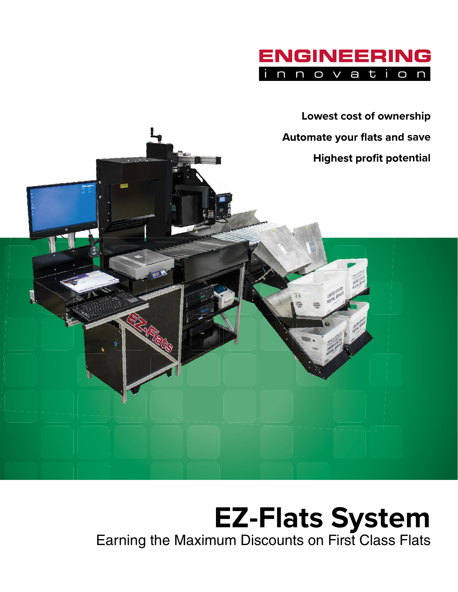



## **EZ-Flats System** Earning the Maximum Discounts on First Class Flats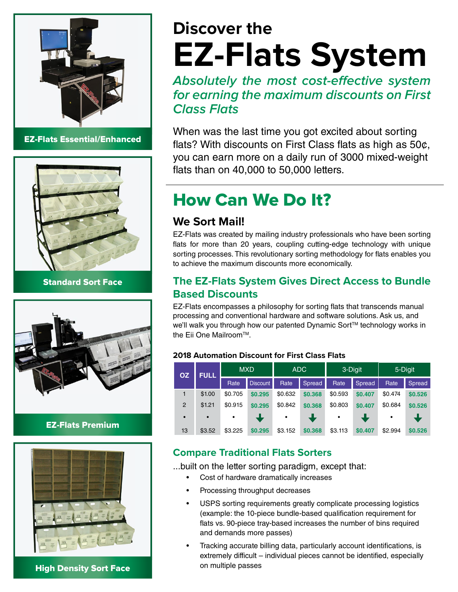

EZ-Flats Essential/Enhanced



Standard Sort Face



#### EZ-Flats Premium



High Density Sort Face

# **Discover the EZ-Flats System**

**Absolutely the most cost-effective system for earning the maximum discounts on First Class Flats**

When was the last time you got excited about sorting flats? With discounts on First Class flats as high as  $50¢$ , you can earn more on a daily run of 3000 mixed-weight flats than on  $40,000$  to  $50,000$  letters.

## How Can We Do It?

#### **We Sort Mail!**

EZ-Flats was created by mailing industry professionals who have been sorting flats for more than 20 years, coupling cutting-edge technology with unique sorting processes. This revolutionary sorting methodology for flats enables you to achieve the maximum discounts more economically.

#### **The EZ-Flats System Gives Direct Access to Bundle Based Discounts**

EZ-Flats encompasses a philosophy for sorting flats that transcends manual processing and conventional hardware and software solutions. Ask us, and we'll walk you through how our patented Dynamic Sort™ technology works in the Eii One Mailroom™.

#### **2018 Automation Discount for First Class Flats**

| <b>OZ</b> | <b>FULL</b> | <b>MXD</b> |          | <b>ADC</b> |         | 3-Digit   |         | 5-Digit |               |
|-----------|-------------|------------|----------|------------|---------|-----------|---------|---------|---------------|
|           |             | Rate       | Discount | Rate       | Spread  | Rate      | Spread  | Rate    | <b>Spread</b> |
| 1         | \$1.00      | \$0.705    | \$0.295  | \$0.632    | \$0.368 | \$0.593   | \$0.407 | \$0.474 | \$0.526       |
| 2         | \$1.21      | \$0.915    | \$0.295  | \$0.842    | \$0.368 | \$0.803   | \$0.407 | \$0.684 | \$0.526       |
| $\bullet$ | $\bullet$   | $\bullet$  |          | $\bullet$  |         | $\bullet$ |         | ٠       |               |
| 13        | \$3.52      | \$3.225    | \$0.295  | \$3.152    | \$0.368 | \$3.113   | \$0.407 | \$2.994 | \$0.526       |

#### **Compare Traditional Flats Sorters**

...built on the letter sorting paradigm, except that:

- Cost of hardware dramatically increases
- Processing throughput decreases
- USPS sorting requirements greatly complicate processing logistics (example: the 10-piece bundle-based qualification requirement for flats vs. 90-piece tray-based increases the number of bins required and demands more passes)
- Tracking accurate billing data, particularly account identifications, is extremely difficult – individual pieces cannot be identified, especially on multiple passes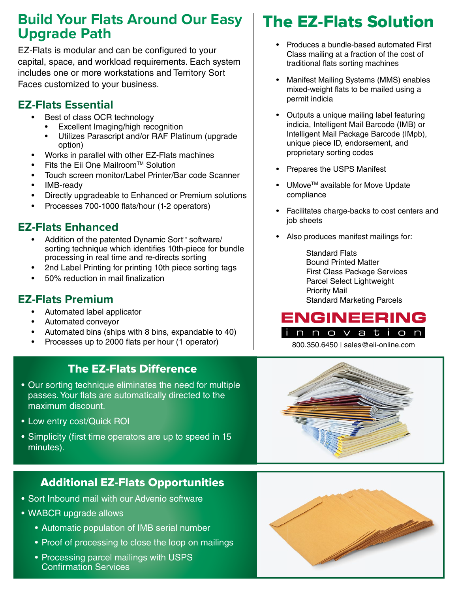## **Build Your Flats Around Our Easy Upgrade Path**

EZ-Flats is modular and can be configured to your capital, space, and workload requirements. Each system includes one or more workstations and Territory Sort Faces customized to your business.

### **EZ-Flats Essential**

- Best of class OCR technology
	- Excellent Imaging/high recognition
	- Utilizes Parascript and/or RAF Platinum (upgrade option)
- Works in parallel with other EZ-Flats machines
- Fits the Eii One Mailroom™ Solution
- Touch screen monitor/Label Printer/Bar code Scanner
- IMB-ready
- Directly upgradeable to Enhanced or Premium solutions
- Processes 700-1000 flats/hour (1-2 operators)

### **EZ-Flats Enhanced**

- Addition of the patented Dynamic Sort™ software/ sorting technique which identifies 10th-piece for bundle processing in real time and re-directs sorting
- 2nd Label Printing for printing 10th piece sorting tags
- $\cdot$  50% reduction in mail finalization

### **EZ-Flats Premium**

- Automated label applicator
- Automated conveyor
- Automated bins (ships with 8 bins, expandable to 40)
- Processes up to 2000 flats per hour (1 operator)

### **The EZ-Flats Difference**

- Our sorting technique eliminates the need for multiple passes. Your flats are automatically directed to the maximum discount.
- Low entry cost/Quick ROI
- Simplicity (first time operators are up to speed in 15 minutes).

### Additional EZ-Flats Opportunities

- Sort Inbound mail with our Advenio software
- WABCR upgrade allows
	- Automatic population of IMB serial number
	- Proof of processing to close the loop on mailings
	- Processing parcel mailings with USPS **Confirmation Services**

## The EZ-Flats Solution

- Produces a bundle-based automated First Class mailing at a fraction of the cost of traditional flats sorting machines
- Manifest Mailing Systems (MMS) enables mixed-weight flats to be mailed using a permit indicia
- Outputs a unique mailing label featuring indicia, Intelligent Mail Barcode (IMB) or Intelligent Mail Package Barcode (IMpb), unique piece ID, endorsement, and proprietary sorting codes
- Prepares the USPS Manifest
- UMove<sup>™</sup> available for Move Update compliance
- Facilitates charge-backs to cost centers and job sheets
- Also produces manifest mailings for:

Standard Flats Bound Printed Matter First Class Package Services Parcel Select Lightweight Priority Mail Standard Marketing Parcels



800.350.6450 | sales@eii-online.com